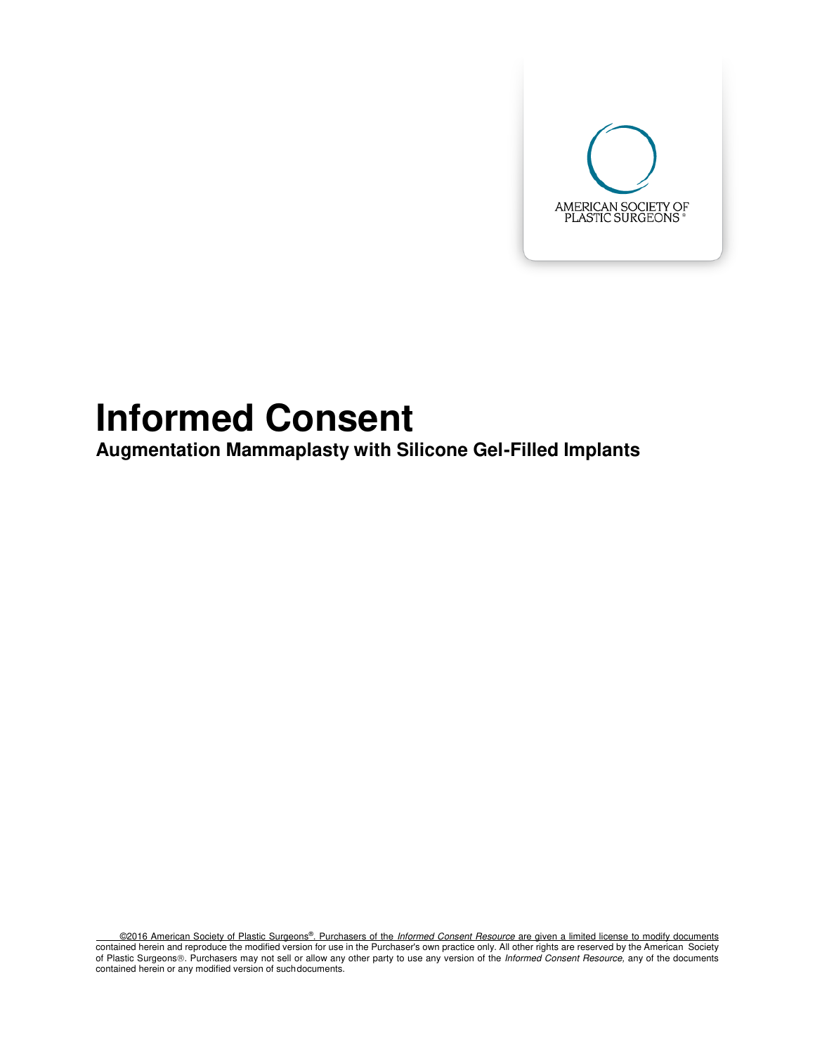

# **Informed Consent**

**Augmentation Mammaplasty with Silicone Gel-Filled Implants** 

©2016 American Society of Plastic Surgeons®. Purchasers of the Informed Consent Resource are given a limited license to modify documents contained herein and reproduce the modified version for use in the Purchaser's own practice only. All other rights are reserved by the American Society of Plastic Surgeons®. Purchasers may not sell or allow any other party to use any version of the Informed Consent Resource, any of the documents contained herein or any modified version of such documents.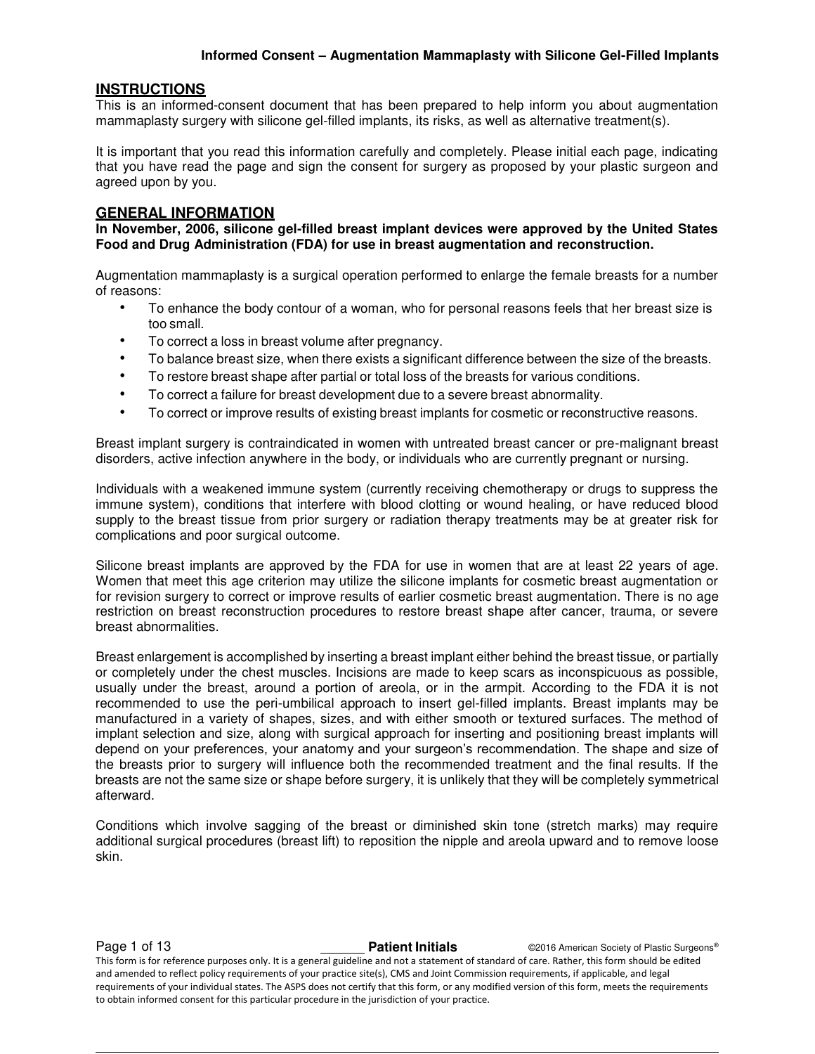#### **INSTRUCTIONS**

This is an informed-consent document that has been prepared to help inform you about augmentation mammaplasty surgery with silicone gel-filled implants, its risks, as well as alternative treatment(s).

It is important that you read this information carefully and completely. Please initial each page, indicating that you have read the page and sign the consent for surgery as proposed by your plastic surgeon and agreed upon by you.

#### **GENERAL INFORMATION**

**In November, 2006, silicone gel-filled breast implant devices were approved by the United States Food and Drug Administration (FDA) for use in breast augmentation and reconstruction.** 

Augmentation mammaplasty is a surgical operation performed to enlarge the female breasts for a number of reasons:

- To enhance the body contour of a woman, who for personal reasons feels that her breast size is too small.
- To correct a loss in breast volume after pregnancy.
- To balance breast size, when there exists a significant difference between the size of the breasts.
- To restore breast shape after partial or total loss of the breasts for various conditions.
- To correct a failure for breast development due to a severe breast abnormality.
- To correct or improve results of existing breast implants for cosmetic or reconstructive reasons.

Breast implant surgery is contraindicated in women with untreated breast cancer or pre-malignant breast disorders, active infection anywhere in the body, or individuals who are currently pregnant or nursing.

Individuals with a weakened immune system (currently receiving chemotherapy or drugs to suppress the immune system), conditions that interfere with blood clotting or wound healing, or have reduced blood supply to the breast tissue from prior surgery or radiation therapy treatments may be at greater risk for complications and poor surgical outcome.

Silicone breast implants are approved by the FDA for use in women that are at least 22 years of age. Women that meet this age criterion may utilize the silicone implants for cosmetic breast augmentation or for revision surgery to correct or improve results of earlier cosmetic breast augmentation. There is no age restriction on breast reconstruction procedures to restore breast shape after cancer, trauma, or severe breast abnormalities.

Breast enlargement is accomplished by inserting a breast implant either behind the breast tissue, or partially or completely under the chest muscles. Incisions are made to keep scars as inconspicuous as possible, usually under the breast, around a portion of areola, or in the armpit. According to the FDA it is not recommended to use the peri-umbilical approach to insert gel-filled implants. Breast implants may be manufactured in a variety of shapes, sizes, and with either smooth or textured surfaces. The method of implant selection and size, along with surgical approach for inserting and positioning breast implants will depend on your preferences, your anatomy and your surgeon's recommendation. The shape and size of the breasts prior to surgery will influence both the recommended treatment and the final results. If the breasts are not the same size or shape before surgery, it is unlikely that they will be completely symmetrical afterward.

Conditions which involve sagging of the breast or diminished skin tone (stretch marks) may require additional surgical procedures (breast lift) to reposition the nipple and areola upward and to remove loose skin.

**Page 1 of 13 Patient Initials Patient Initials C2016 American Society of Plastic Surgeons®** This form is for reference purposes only. It is a general guideline and not a statement of standard of care. Rather, this form should be edited and amended to reflect policy requirements of your practice site(s), CMS and Joint Commission requirements, if applicable, and legal requirements of your individual states. The ASPS does not certify that this form, or any modified version of this form, meets the requirements to obtain informed consent for this particular procedure in the jurisdiction of your practice.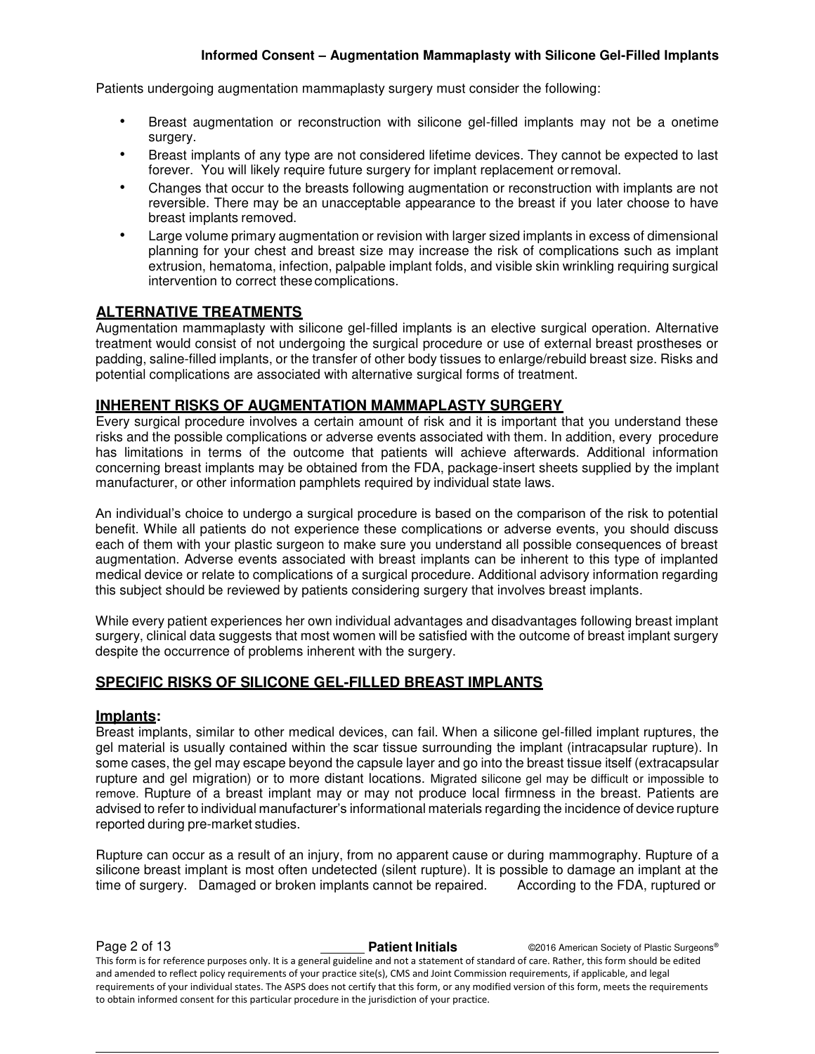Patients undergoing augmentation mammaplasty surgery must consider the following:

- Breast augmentation or reconstruction with silicone gel-filled implants may not be a onetime surgery.
- Breast implants of any type are not considered lifetime devices. They cannot be expected to last forever. You will likely require future surgery for implant replacement or removal.
- Changes that occur to the breasts following augmentation or reconstruction with implants are not reversible. There may be an unacceptable appearance to the breast if you later choose to have breast implants removed.
- Large volume primary augmentation or revision with larger sized implants in excess of dimensional planning for your chest and breast size may increase the risk of complications such as implant extrusion, hematoma, infection, palpable implant folds, and visible skin wrinkling requiring surgical intervention to correct these complications.

# **ALTERNATIVE TREATMENTS**

Augmentation mammaplasty with silicone gel-filled implants is an elective surgical operation. Alternative treatment would consist of not undergoing the surgical procedure or use of external breast prostheses or padding, saline-filled implants, or the transfer of other body tissues to enlarge/rebuild breast size. Risks and potential complications are associated with alternative surgical forms of treatment.

# **INHERENT RISKS OF AUGMENTATION MAMMAPLASTY SURGERY**

Every surgical procedure involves a certain amount of risk and it is important that you understand these risks and the possible complications or adverse events associated with them. In addition, every procedure has limitations in terms of the outcome that patients will achieve afterwards. Additional information concerning breast implants may be obtained from the FDA, package-insert sheets supplied by the implant manufacturer, or other information pamphlets required by individual state laws.

An individual's choice to undergo a surgical procedure is based on the comparison of the risk to potential benefit. While all patients do not experience these complications or adverse events, you should discuss each of them with your plastic surgeon to make sure you understand all possible consequences of breast augmentation. Adverse events associated with breast implants can be inherent to this type of implanted medical device or relate to complications of a surgical procedure. Additional advisory information regarding this subject should be reviewed by patients considering surgery that involves breast implants.

While every patient experiences her own individual advantages and disadvantages following breast implant surgery, clinical data suggests that most women will be satisfied with the outcome of breast implant surgery despite the occurrence of problems inherent with the surgery.

# **SPECIFIC RISKS OF SILICONE GEL-FILLED BREAST IMPLANTS**

# **Implants:**

Breast implants, similar to other medical devices, can fail. When a silicone gel-filled implant ruptures, the gel material is usually contained within the scar tissue surrounding the implant (intracapsular rupture). In some cases, the gel may escape beyond the capsule layer and go into the breast tissue itself (extracapsular rupture and gel migration) or to more distant locations. Migrated silicone gel may be difficult or impossible to remove. Rupture of a breast implant may or may not produce local firmness in the breast. Patients are advised to refer to individual manufacturer's informational materials regarding the incidence of device rupture reported during pre-market studies.

Rupture can occur as a result of an injury, from no apparent cause or during mammography. Rupture of a silicone breast implant is most often undetected (silent rupture). It is possible to damage an implant at the time of surgery. Damaged or broken implants cannot be repaired. According to the FDA, ruptured or

**Page 2 of 13 Patient Initials Patient Initials C2016 American Society of Plastic Surgeons®** This form is for reference purposes only. It is a general guideline and not a statement of standard of care. Rather, this form should be edited and amended to reflect policy requirements of your practice site(s), CMS and Joint Commission requirements, if applicable, and legal requirements of your individual states. The ASPS does not certify that this form, or any modified version of this form, meets the requirements to obtain informed consent for this particular procedure in the jurisdiction of your practice.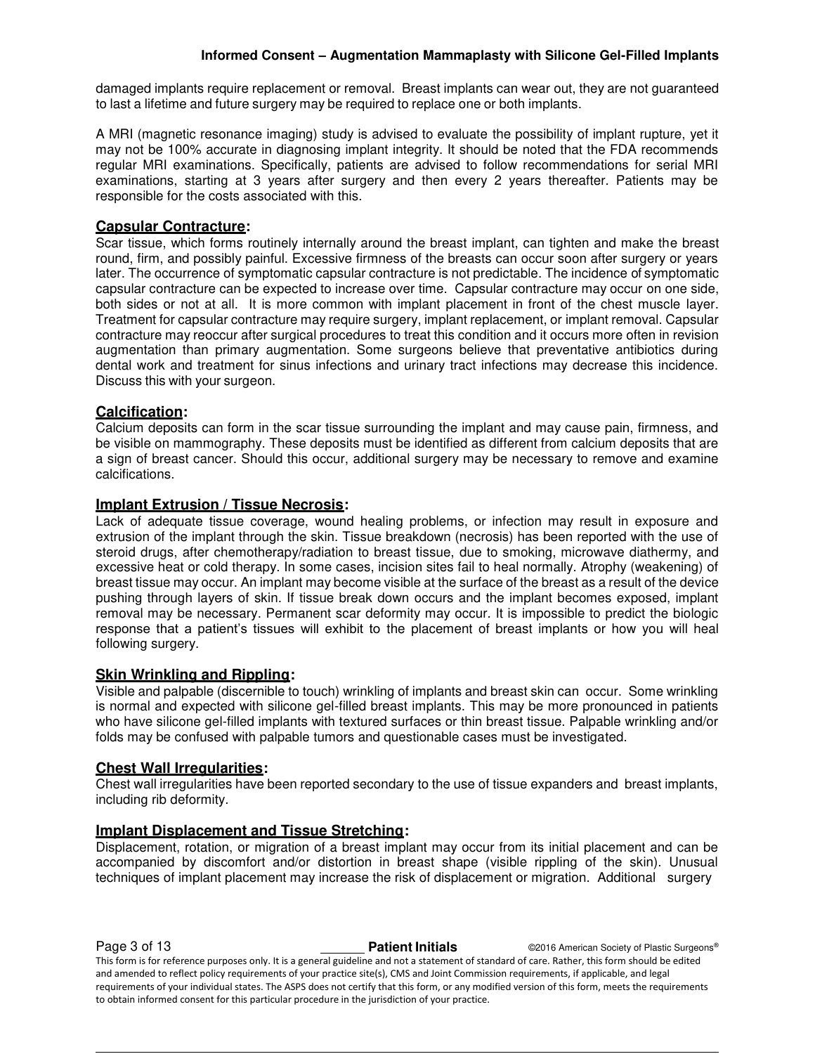damaged implants require replacement or removal. Breast implants can wear out, they are not guaranteed to last a lifetime and future surgery may be required to replace one or both implants.

A MRI (magnetic resonance imaging) study is advised to evaluate the possibility of implant rupture, yet it may not be 100% accurate in diagnosing implant integrity. It should be noted that the FDA recommends regular MRI examinations. Specifically, patients are advised to follow recommendations for serial MRI examinations, starting at 3 years after surgery and then every 2 years thereafter. Patients may be responsible for the costs associated with this.

# **Capsular Contracture:**

Scar tissue, which forms routinely internally around the breast implant, can tighten and make the breast round, firm, and possibly painful. Excessive firmness of the breasts can occur soon after surgery or years later. The occurrence of symptomatic capsular contracture is not predictable. The incidence of symptomatic capsular contracture can be expected to increase over time. Capsular contracture may occur on one side, both sides or not at all. It is more common with implant placement in front of the chest muscle layer. Treatment for capsular contracture may require surgery, implant replacement, or implant removal. Capsular contracture may reoccur after surgical procedures to treat this condition and it occurs more often in revision augmentation than primary augmentation. Some surgeons believe that preventative antibiotics during dental work and treatment for sinus infections and urinary tract infections may decrease this incidence. Discuss this with your surgeon.

# **Calcification:**

Calcium deposits can form in the scar tissue surrounding the implant and may cause pain, firmness, and be visible on mammography. These deposits must be identified as different from calcium deposits that are a sign of breast cancer. Should this occur, additional surgery may be necessary to remove and examine calcifications.

#### **Implant Extrusion / Tissue Necrosis:**

Lack of adequate tissue coverage, wound healing problems, or infection may result in exposure and extrusion of the implant through the skin. Tissue breakdown (necrosis) has been reported with the use of steroid drugs, after chemotherapy/radiation to breast tissue, due to smoking, microwave diathermy, and excessive heat or cold therapy. In some cases, incision sites fail to heal normally. Atrophy (weakening) of breast tissue may occur. An implant may become visible at the surface of the breast as a result of the device pushing through layers of skin. If tissue break down occurs and the implant becomes exposed, implant removal may be necessary. Permanent scar deformity may occur. It is impossible to predict the biologic response that a patient's tissues will exhibit to the placement of breast implants or how you will heal following surgery.

#### **Skin Wrinkling and Rippling:**

Visible and palpable (discernible to touch) wrinkling of implants and breast skin can occur. Some wrinkling is normal and expected with silicone gel-filled breast implants. This may be more pronounced in patients who have silicone gel-filled implants with textured surfaces or thin breast tissue. Palpable wrinkling and/or folds may be confused with palpable tumors and questionable cases must be investigated.

# **Chest Wall Irregularities:**

Chest wall irregularities have been reported secondary to the use of tissue expanders and breast implants, including rib deformity.

#### **Implant Displacement and Tissue Stretching:**

Displacement, rotation, or migration of a breast implant may occur from its initial placement and can be accompanied by discomfort and/or distortion in breast shape (visible rippling of the skin). Unusual techniques of implant placement may increase the risk of displacement or migration. Additional surgery

**Page 3 of 13 Patient Initials Patient Initials C2016 American Society of Plastic Surgeons®** This form is for reference purposes only. It is a general guideline and not a statement of standard of care. Rather, this form should be edited and amended to reflect policy requirements of your practice site(s), CMS and Joint Commission requirements, if applicable, and legal requirements of your individual states. The ASPS does not certify that this form, or any modified version of this form, meets the requirements to obtain informed consent for this particular procedure in the jurisdiction of your practice.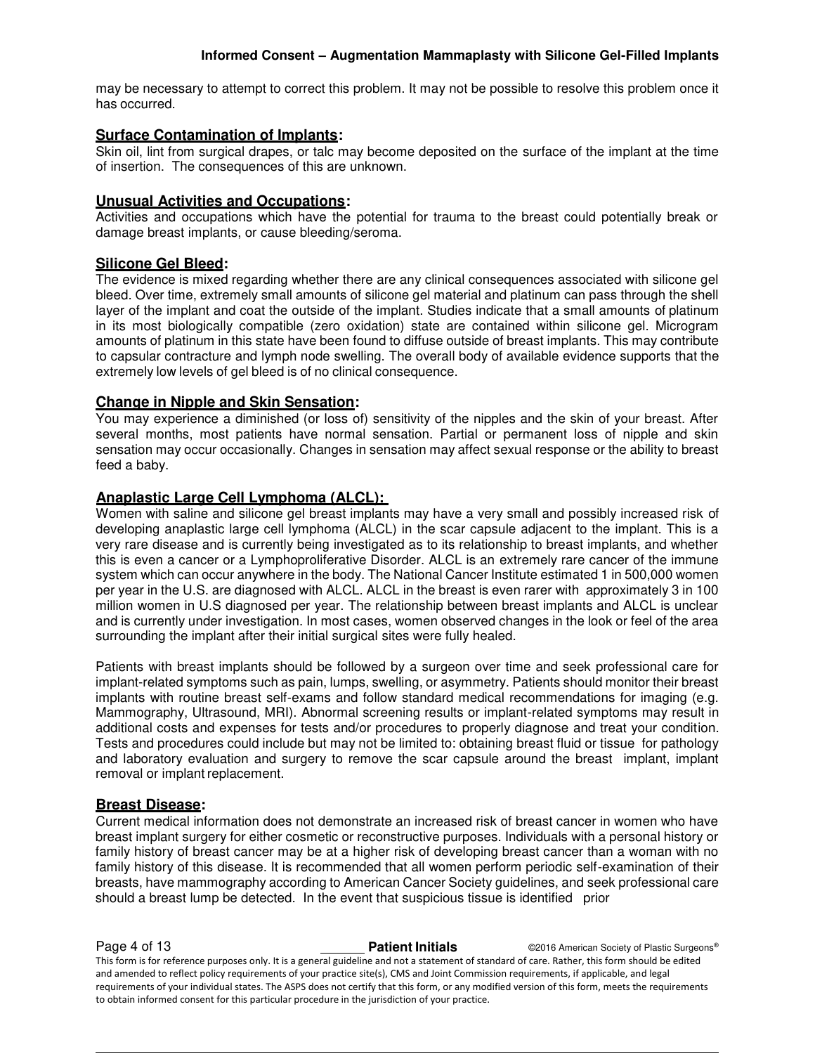may be necessary to attempt to correct this problem. It may not be possible to resolve this problem once it has occurred.

# **Surface Contamination of Implants:**

Skin oil, lint from surgical drapes, or talc may become deposited on the surface of the implant at the time of insertion. The consequences of this are unknown.

# **Unusual Activities and Occupations:**

Activities and occupations which have the potential for trauma to the breast could potentially break or damage breast implants, or cause bleeding/seroma.

# **Silicone Gel Bleed:**

The evidence is mixed regarding whether there are any clinical consequences associated with silicone gel bleed. Over time, extremely small amounts of silicone gel material and platinum can pass through the shell layer of the implant and coat the outside of the implant. Studies indicate that a small amounts of platinum in its most biologically compatible (zero oxidation) state are contained within silicone gel. Microgram amounts of platinum in this state have been found to diffuse outside of breast implants. This may contribute to capsular contracture and lymph node swelling. The overall body of available evidence supports that the extremely low levels of gel bleed is of no clinical consequence.

# **Change in Nipple and Skin Sensation:**

You may experience a diminished (or loss of) sensitivity of the nipples and the skin of your breast. After several months, most patients have normal sensation. Partial or permanent loss of nipple and skin sensation may occur occasionally. Changes in sensation may affect sexual response or the ability to breast feed a baby.

# **Anaplastic Large Cell Lymphoma (ALCL):**

Women with saline and silicone gel breast implants may have a very small and possibly increased risk of developing anaplastic large cell lymphoma (ALCL) in the scar capsule adjacent to the implant. This is a very rare disease and is currently being investigated as to its relationship to breast implants, and whether this is even a cancer or a Lymphoproliferative Disorder. ALCL is an extremely rare cancer of the immune system which can occur anywhere in the body. The National Cancer Institute estimated 1 in 500,000 women per year in the U.S. are diagnosed with ALCL. ALCL in the breast is even rarer with approximately 3 in 100 million women in U.S diagnosed per year. The relationship between breast implants and ALCL is unclear and is currently under investigation. In most cases, women observed changes in the look or feel of the area surrounding the implant after their initial surgical sites were fully healed.

Patients with breast implants should be followed by a surgeon over time and seek professional care for implant-related symptoms such as pain, lumps, swelling, or asymmetry. Patients should monitor their breast implants with routine breast self-exams and follow standard medical recommendations for imaging (e.g. Mammography, Ultrasound, MRI). Abnormal screening results or implant-related symptoms may result in additional costs and expenses for tests and/or procedures to properly diagnose and treat your condition. Tests and procedures could include but may not be limited to: obtaining breast fluid or tissue for pathology and laboratory evaluation and surgery to remove the scar capsule around the breast implant, implant removal or implant replacement.

# **Breast Disease:**

Current medical information does not demonstrate an increased risk of breast cancer in women who have breast implant surgery for either cosmetic or reconstructive purposes. Individuals with a personal history or family history of breast cancer may be at a higher risk of developing breast cancer than a woman with no family history of this disease. It is recommended that all women perform periodic self-examination of their breasts, have mammography according to American Cancer Society guidelines, and seek professional care should a breast lump be detected. In the event that suspicious tissue is identified prior

**Page 4 of 13 Patient Initials Patient Initials C2016 American Society of Plastic Surgeons®** This form is for reference purposes only. It is a general guideline and not a statement of standard of care. Rather, this form should be edited and amended to reflect policy requirements of your practice site(s), CMS and Joint Commission requirements, if applicable, and legal requirements of your individual states. The ASPS does not certify that this form, or any modified version of this form, meets the requirements to obtain informed consent for this particular procedure in the jurisdiction of your practice.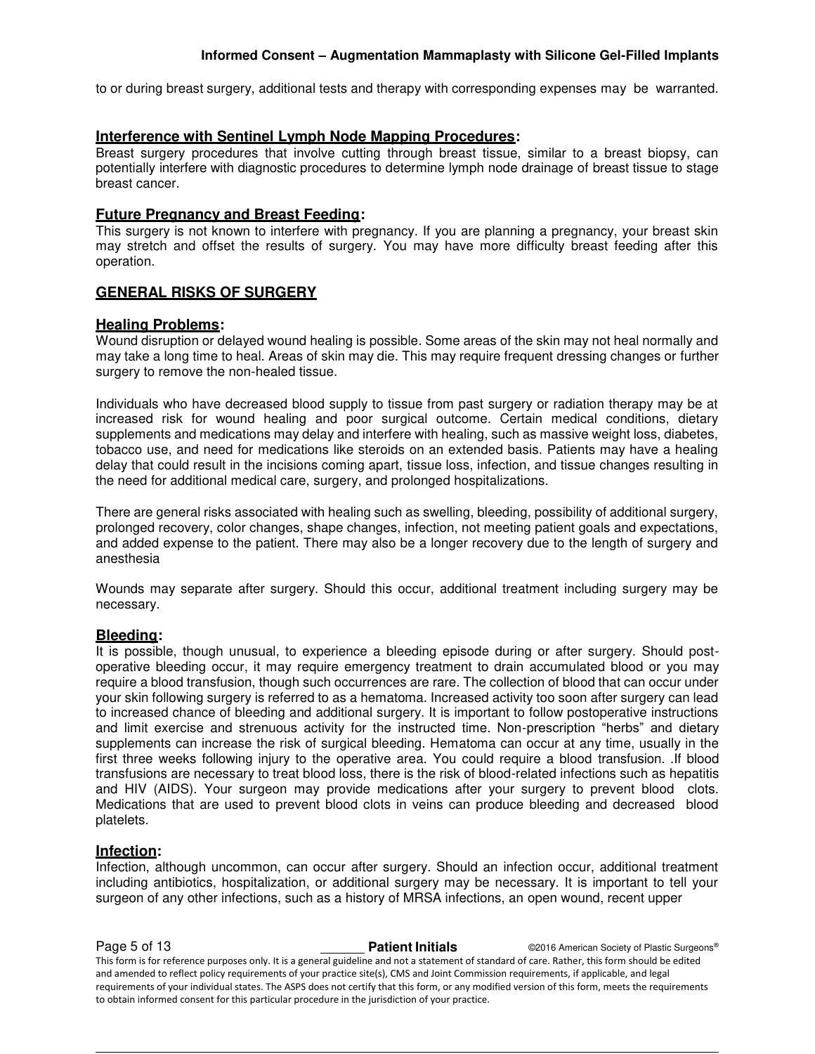to or during breast surgery, additional tests and therapy with corresponding expenses may be warranted.

#### **Interference with Sentinel Lymph Node Mapping Procedures:**

Breast surgery procedures that involve cutting through breast tissue, similar to a breast biopsy, can potentially interfere with diagnostic procedures to determine lymph node drainage of breast tissue to stage breast cancer.

#### **Future Pregnancy and Breast Feeding:**

This surgery is not known to interfere with pregnancy. If you are planning a pregnancy, your breast skin may stretch and offset the results of surgery. You may have more difficulty breast feeding after this operation.

#### **GENERAL RISKS OF SURGERY**

#### **Healing Problems:**

Wound disruption or delayed wound healing is possible. Some areas of the skin may not heal normally and may take a long time to heal. Areas of skin may die. This may require frequent dressing changes or further surgery to remove the non-healed tissue.

Individuals who have decreased blood supply to tissue from past surgery or radiation therapy may be at increased risk for wound healing and poor surgical outcome. Certain medical conditions, dietary supplements and medications may delay and interfere with healing, such as massive weight loss, diabetes, tobacco use, and need for medications like steroids on an extended basis. Patients may have a healing delay that could result in the incisions coming apart, tissue loss, infection, and tissue changes resulting in the need for additional medical care, surgery, and prolonged hospitalizations.

There are general risks associated with healing such as swelling, bleeding, possibility of additional surgery, prolonged recovery, color changes, shape changes, infection, not meeting patient goals and expectations, and added expense to the patient. There may also be a longer recovery due to the length of surgery and anesthesia

Wounds may separate after surgery. Should this occur, additional treatment including surgery may be necessary.

#### **Bleeding:**

It is possible, though unusual, to experience a bleeding episode during or after surgery. Should postoperative bleeding occur, it may require emergency treatment to drain accumulated blood or you may require a blood transfusion, though such occurrences are rare. The collection of blood that can occur under your skin following surgery is referred to as a hematoma. Increased activity too soon after surgery can lead to increased chance of bleeding and additional surgery. It is important to follow postoperative instructions and limit exercise and strenuous activity for the instructed time. Non-prescription "herbs" and dietary supplements can increase the risk of surgical bleeding. Hematoma can occur at any time, usually in the first three weeks following injury to the operative area. You could require a blood transfusion. .If blood transfusions are necessary to treat blood loss, there is the risk of blood-related infections such as hepatitis and HIV (AIDS). Your surgeon may provide medications after your surgery to prevent blood clots. Medications that are used to prevent blood clots in veins can produce bleeding and decreased blood platelets.

#### **Infection:**

Infection, although uncommon, can occur after surgery. Should an infection occur, additional treatment including antibiotics, hospitalization, or additional surgery may be necessary. It is important to tell your surgeon of any other infections, such as a history of MRSA infections, an open wound, recent upper

**Page 5 of 13 Patient Initials Patient Initials C2016 American Society of Plastic Surgeons®** This form is for reference purposes only. It is a general guideline and not a statement of standard of care. Rather, this form should be edited and amended to reflect policy requirements of your practice site(s), CMS and Joint Commission requirements, if applicable, and legal requirements of your individual states. The ASPS does not certify that this form, or any modified version of this form, meets the requirements to obtain informed consent for this particular procedure in the jurisdiction of your practice.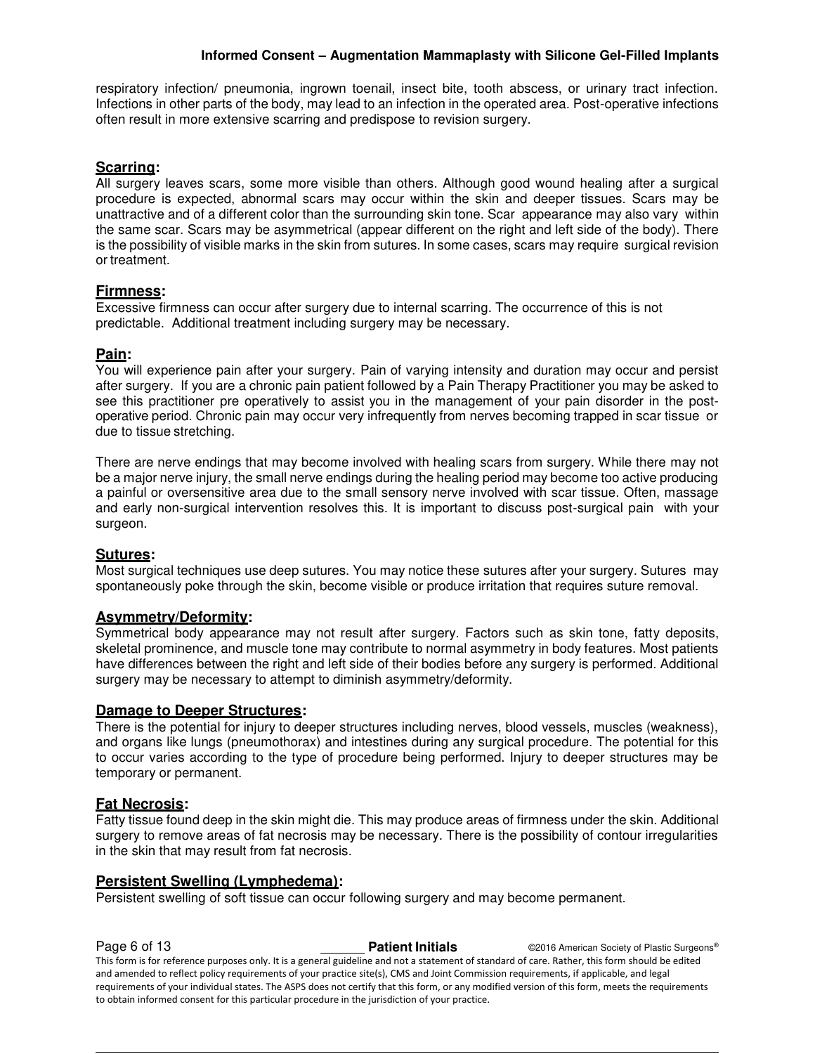respiratory infection/ pneumonia, ingrown toenail, insect bite, tooth abscess, or urinary tract infection. Infections in other parts of the body, may lead to an infection in the operated area. Post-operative infections often result in more extensive scarring and predispose to revision surgery.

# **Scarring:**

All surgery leaves scars, some more visible than others. Although good wound healing after a surgical procedure is expected, abnormal scars may occur within the skin and deeper tissues. Scars may be unattractive and of a different color than the surrounding skin tone. Scar appearance may also vary within the same scar. Scars may be asymmetrical (appear different on the right and left side of the body). There is the possibility of visible marks in the skin from sutures. In some cases, scars may require surgical revision or treatment.

# **Firmness:**

Excessive firmness can occur after surgery due to internal scarring. The occurrence of this is not predictable. Additional treatment including surgery may be necessary.

#### **Pain:**

You will experience pain after your surgery. Pain of varying intensity and duration may occur and persist after surgery. If you are a chronic pain patient followed by a Pain Therapy Practitioner you may be asked to see this practitioner pre operatively to assist you in the management of your pain disorder in the postoperative period. Chronic pain may occur very infrequently from nerves becoming trapped in scar tissue or due to tissue stretching.

There are nerve endings that may become involved with healing scars from surgery. While there may not be a major nerve injury, the small nerve endings during the healing period may become too active producing a painful or oversensitive area due to the small sensory nerve involved with scar tissue. Often, massage and early non-surgical intervention resolves this. It is important to discuss post-surgical pain with your surgeon.

#### **Sutures:**

Most surgical techniques use deep sutures. You may notice these sutures after your surgery. Sutures may spontaneously poke through the skin, become visible or produce irritation that requires suture removal.

#### **Asymmetry/Deformity:**

Symmetrical body appearance may not result after surgery. Factors such as skin tone, fatty deposits, skeletal prominence, and muscle tone may contribute to normal asymmetry in body features. Most patients have differences between the right and left side of their bodies before any surgery is performed. Additional surgery may be necessary to attempt to diminish asymmetry/deformity.

#### **Damage to Deeper Structures:**

There is the potential for injury to deeper structures including nerves, blood vessels, muscles (weakness), and organs like lungs (pneumothorax) and intestines during any surgical procedure. The potential for this to occur varies according to the type of procedure being performed. Injury to deeper structures may be temporary or permanent.

#### **Fat Necrosis:**

Fatty tissue found deep in the skin might die. This may produce areas of firmness under the skin. Additional surgery to remove areas of fat necrosis may be necessary. There is the possibility of contour irregularities in the skin that may result from fat necrosis.

#### **Persistent Swelling (Lymphedema):**

Persistent swelling of soft tissue can occur following surgery and may become permanent.

**Page 6 of 13 Patient Initials Patient Initials C2016 American Society of Plastic Surgeons®** This form is for reference purposes only. It is a general guideline and not a statement of standard of care. Rather, this form should be edited and amended to reflect policy requirements of your practice site(s), CMS and Joint Commission requirements, if applicable, and legal requirements of your individual states. The ASPS does not certify that this form, or any modified version of this form, meets the requirements to obtain informed consent for this particular procedure in the jurisdiction of your practice.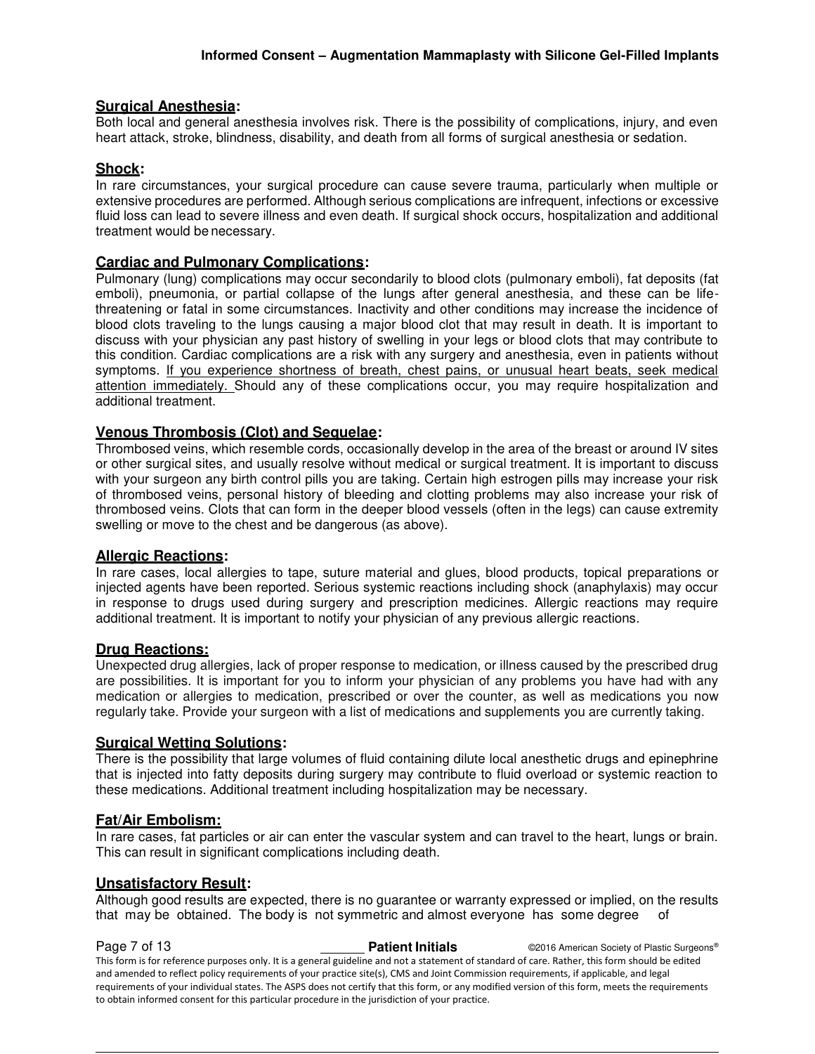# **Surgical Anesthesia:**

Both local and general anesthesia involves risk. There is the possibility of complications, injury, and even heart attack, stroke, blindness, disability, and death from all forms of surgical anesthesia or sedation.

# **Shock:**

In rare circumstances, your surgical procedure can cause severe trauma, particularly when multiple or extensive procedures are performed. Although serious complications are infrequent, infections or excessive fluid loss can lead to severe illness and even death. If surgical shock occurs, hospitalization and additional treatment would be necessary.

# **Cardiac and Pulmonary Complications:**

Pulmonary (lung) complications may occur secondarily to blood clots (pulmonary emboli), fat deposits (fat emboli), pneumonia, or partial collapse of the lungs after general anesthesia, and these can be lifethreatening or fatal in some circumstances. Inactivity and other conditions may increase the incidence of blood clots traveling to the lungs causing a major blood clot that may result in death. It is important to discuss with your physician any past history of swelling in your legs or blood clots that may contribute to this condition. Cardiac complications are a risk with any surgery and anesthesia, even in patients without symptoms. If you experience shortness of breath, chest pains, or unusual heart beats, seek medical attention immediately. Should any of these complications occur, you may require hospitalization and additional treatment.

# **Venous Thrombosis (Clot) and Sequelae:**

Thrombosed veins, which resemble cords, occasionally develop in the area of the breast or around IV sites or other surgical sites, and usually resolve without medical or surgical treatment. It is important to discuss with your surgeon any birth control pills you are taking. Certain high estrogen pills may increase your risk of thrombosed veins, personal history of bleeding and clotting problems may also increase your risk of thrombosed veins. Clots that can form in the deeper blood vessels (often in the legs) can cause extremity swelling or move to the chest and be dangerous (as above).

# **Allergic Reactions:**

In rare cases, local allergies to tape, suture material and glues, blood products, topical preparations or injected agents have been reported. Serious systemic reactions including shock (anaphylaxis) may occur in response to drugs used during surgery and prescription medicines. Allergic reactions may require additional treatment. It is important to notify your physician of any previous allergic reactions.

# **Drug Reactions:**

Unexpected drug allergies, lack of proper response to medication, or illness caused by the prescribed drug are possibilities. It is important for you to inform your physician of any problems you have had with any medication or allergies to medication, prescribed or over the counter, as well as medications you now regularly take. Provide your surgeon with a list of medications and supplements you are currently taking.

# **Surgical Wetting Solutions:**

There is the possibility that large volumes of fluid containing dilute local anesthetic drugs and epinephrine that is injected into fatty deposits during surgery may contribute to fluid overload or systemic reaction to these medications. Additional treatment including hospitalization may be necessary.

# **Fat/Air Embolism:**

In rare cases, fat particles or air can enter the vascular system and can travel to the heart, lungs or brain. This can result in significant complications including death.

# **Unsatisfactory Result:**

Although good results are expected, there is no guarantee or warranty expressed or implied, on the results that may be obtained. The body is not symmetric and almost everyone has some degree of

**Page 7 of 13 Patient Initials Patient Initials C2016 American Society of Plastic Surgeons®** This form is for reference purposes only. It is a general guideline and not a statement of standard of care. Rather, this form should be edited and amended to reflect policy requirements of your practice site(s), CMS and Joint Commission requirements, if applicable, and legal requirements of your individual states. The ASPS does not certify that this form, or any modified version of this form, meets the requirements to obtain informed consent for this particular procedure in the jurisdiction of your practice.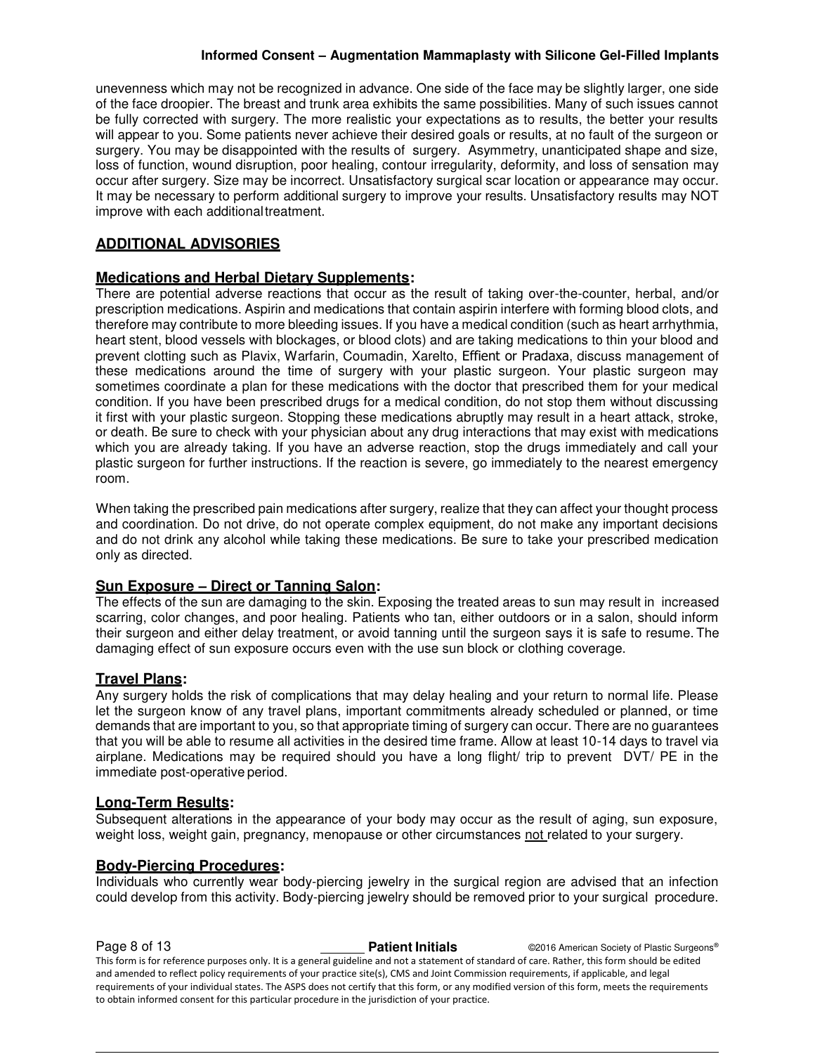unevenness which may not be recognized in advance. One side of the face may be slightly larger, one side of the face droopier. The breast and trunk area exhibits the same possibilities. Many of such issues cannot be fully corrected with surgery. The more realistic your expectations as to results, the better your results will appear to you. Some patients never achieve their desired goals or results, at no fault of the surgeon or surgery. You may be disappointed with the results of surgery. Asymmetry, unanticipated shape and size, loss of function, wound disruption, poor healing, contour irregularity, deformity, and loss of sensation may occur after surgery. Size may be incorrect. Unsatisfactory surgical scar location or appearance may occur. It may be necessary to perform additional surgery to improve your results. Unsatisfactory results may NOT improve with each additional treatment.

# **ADDITIONAL ADVISORIES**

# **Medications and Herbal Dietary Supplements:**

There are potential adverse reactions that occur as the result of taking over-the-counter, herbal, and/or prescription medications. Aspirin and medications that contain aspirin interfere with forming blood clots, and therefore may contribute to more bleeding issues. If you have a medical condition (such as heart arrhythmia, heart stent, blood vessels with blockages, or blood clots) and are taking medications to thin your blood and prevent clotting such as Plavix, Warfarin, Coumadin, Xarelto, Effient or Pradaxa, discuss management of these medications around the time of surgery with your plastic surgeon. Your plastic surgeon may sometimes coordinate a plan for these medications with the doctor that prescribed them for your medical condition. If you have been prescribed drugs for a medical condition, do not stop them without discussing it first with your plastic surgeon. Stopping these medications abruptly may result in a heart attack, stroke, or death. Be sure to check with your physician about any drug interactions that may exist with medications which you are already taking. If you have an adverse reaction, stop the drugs immediately and call your plastic surgeon for further instructions. If the reaction is severe, go immediately to the nearest emergency room.

When taking the prescribed pain medications after surgery, realize that they can affect your thought process and coordination. Do not drive, do not operate complex equipment, do not make any important decisions and do not drink any alcohol while taking these medications. Be sure to take your prescribed medication only as directed.

# **Sun Exposure – Direct or Tanning Salon:**

The effects of the sun are damaging to the skin. Exposing the treated areas to sun may result in increased scarring, color changes, and poor healing. Patients who tan, either outdoors or in a salon, should inform their surgeon and either delay treatment, or avoid tanning until the surgeon says it is safe to resume. The damaging effect of sun exposure occurs even with the use sun block or clothing coverage.

# **Travel Plans:**

Any surgery holds the risk of complications that may delay healing and your return to normal life. Please let the surgeon know of any travel plans, important commitments already scheduled or planned, or time demands that are important to you, so that appropriate timing of surgery can occur. There are no guarantees that you will be able to resume all activities in the desired time frame. Allow at least 10-14 days to travel via airplane. Medications may be required should you have a long flight/ trip to prevent DVT/ PE in the immediate post-operative period.

# **Long-Term Results:**

Subsequent alterations in the appearance of your body may occur as the result of aging, sun exposure, weight loss, weight gain, pregnancy, menopause or other circumstances not related to your surgery.

# **Body-Piercing Procedures:**

Individuals who currently wear body-piercing jewelry in the surgical region are advised that an infection could develop from this activity. Body-piercing jewelry should be removed prior to your surgical procedure.

**Page 8 of 13 Patient Initials Patient Initials C2016 American Society of Plastic Surgeons®** This form is for reference purposes only. It is a general guideline and not a statement of standard of care. Rather, this form should be edited and amended to reflect policy requirements of your practice site(s), CMS and Joint Commission requirements, if applicable, and legal requirements of your individual states. The ASPS does not certify that this form, or any modified version of this form, meets the requirements to obtain informed consent for this particular procedure in the jurisdiction of your practice.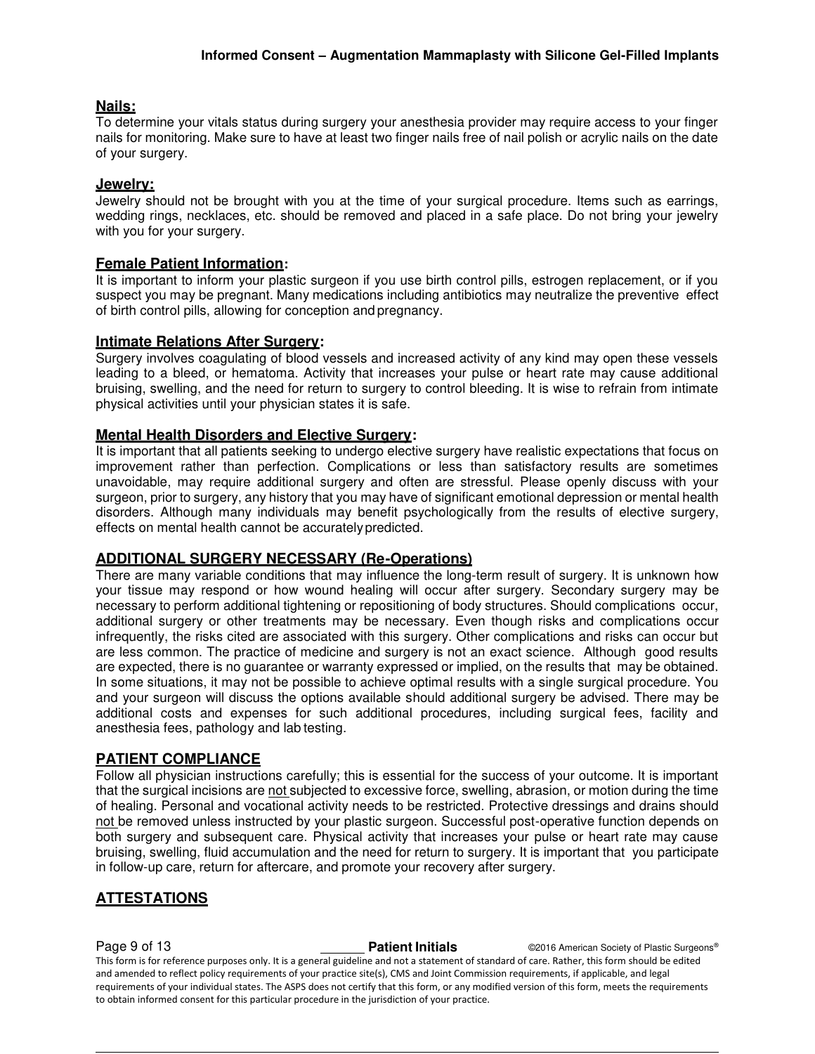# **Nails:**

To determine your vitals status during surgery your anesthesia provider may require access to your finger nails for monitoring. Make sure to have at least two finger nails free of nail polish or acrylic nails on the date of your surgery.

#### **Jewelry:**

Jewelry should not be brought with you at the time of your surgical procedure. Items such as earrings, wedding rings, necklaces, etc. should be removed and placed in a safe place. Do not bring your jewelry with you for your surgery.

# **Female Patient Information:**

It is important to inform your plastic surgeon if you use birth control pills, estrogen replacement, or if you suspect you may be pregnant. Many medications including antibiotics may neutralize the preventive effect of birth control pills, allowing for conception and pregnancy.

#### **Intimate Relations After Surgery:**

Surgery involves coagulating of blood vessels and increased activity of any kind may open these vessels leading to a bleed, or hematoma. Activity that increases your pulse or heart rate may cause additional bruising, swelling, and the need for return to surgery to control bleeding. It is wise to refrain from intimate physical activities until your physician states it is safe.

#### **Mental Health Disorders and Elective Surgery:**

It is important that all patients seeking to undergo elective surgery have realistic expectations that focus on improvement rather than perfection. Complications or less than satisfactory results are sometimes unavoidable, may require additional surgery and often are stressful. Please openly discuss with your surgeon, prior to surgery, any history that you may have of significant emotional depression or mental health disorders. Although many individuals may benefit psychologically from the results of elective surgery, effects on mental health cannot be accurately predicted.

# **ADDITIONAL SURGERY NECESSARY (Re-Operations)**

There are many variable conditions that may influence the long-term result of surgery. It is unknown how your tissue may respond or how wound healing will occur after surgery. Secondary surgery may be necessary to perform additional tightening or repositioning of body structures. Should complications occur, additional surgery or other treatments may be necessary. Even though risks and complications occur infrequently, the risks cited are associated with this surgery. Other complications and risks can occur but are less common. The practice of medicine and surgery is not an exact science. Although good results are expected, there is no guarantee or warranty expressed or implied, on the results that may be obtained. In some situations, it may not be possible to achieve optimal results with a single surgical procedure. You and your surgeon will discuss the options available should additional surgery be advised. There may be additional costs and expenses for such additional procedures, including surgical fees, facility and anesthesia fees, pathology and lab testing.

# **PATIENT COMPLIANCE**

Follow all physician instructions carefully; this is essential for the success of your outcome. It is important that the surgical incisions are not subjected to excessive force, swelling, abrasion, or motion during the time of healing. Personal and vocational activity needs to be restricted. Protective dressings and drains should not be removed unless instructed by your plastic surgeon. Successful post-operative function depends on both surgery and subsequent care. Physical activity that increases your pulse or heart rate may cause bruising, swelling, fluid accumulation and the need for return to surgery. It is important that you participate in follow-up care, return for aftercare, and promote your recovery after surgery.

# **ATTESTATIONS**

**Page 9 of 13 Patient Initials Patient Initials C2016 American Society of Plastic Surgeons®** This form is for reference purposes only. It is a general guideline and not a statement of standard of care. Rather, this form should be edited and amended to reflect policy requirements of your practice site(s), CMS and Joint Commission requirements, if applicable, and legal requirements of your individual states. The ASPS does not certify that this form, or any modified version of this form, meets the requirements to obtain informed consent for this particular procedure in the jurisdiction of your practice.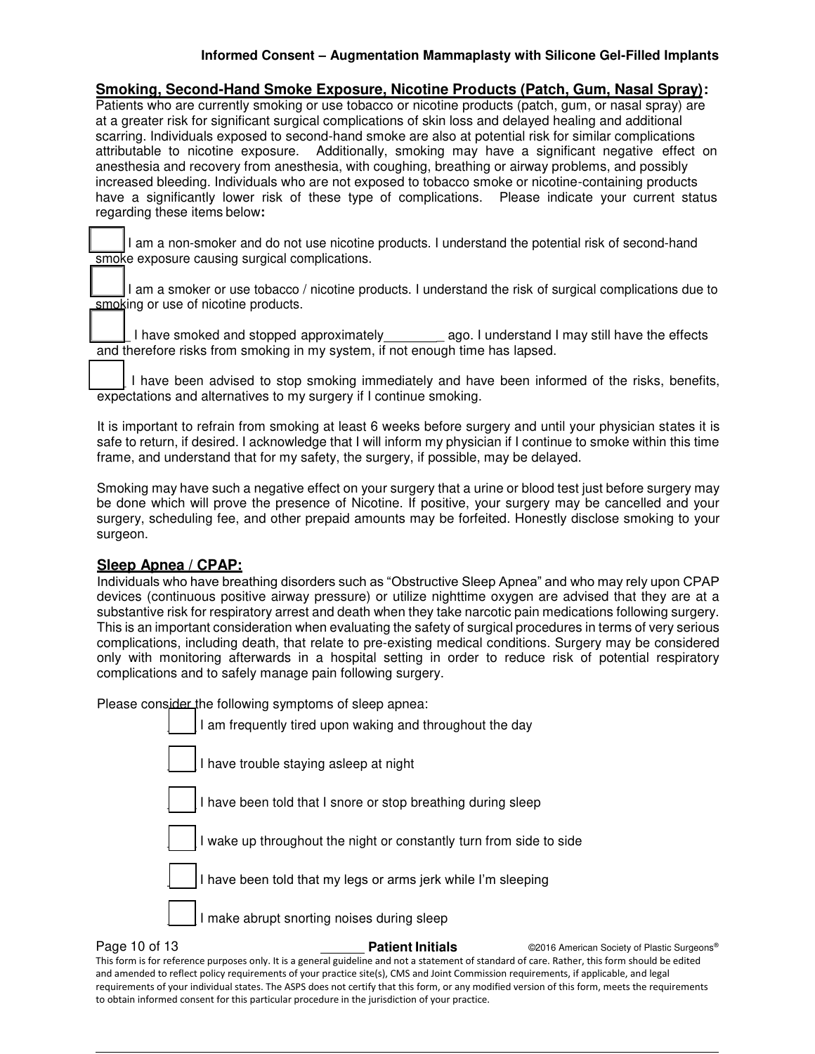**Smoking, Second-Hand Smoke Exposure, Nicotine Products (Patch, Gum, Nasal Spray):**  Patients who are currently smoking or use tobacco or nicotine products (patch, gum, or nasal spray) are at a greater risk for significant surgical complications of skin loss and delayed healing and additional scarring. Individuals exposed to second-hand smoke are also at potential risk for similar complications attributable to nicotine exposure. Additionally, smoking may have a significant negative effect on anesthesia and recovery from anesthesia, with coughing, breathing or airway problems, and possibly increased bleeding. Individuals who are not exposed to tobacco smoke or nicotine-containing products have a significantly lower risk of these type of complications. Please indicate your current status regarding these items below**:** 

I am a non-smoker and do not use nicotine products. I understand the potential risk of second-hand smoke exposure causing surgical complications.

I am a smoker or use tobacco / nicotine products. I understand the risk of surgical complications due to smoking or use of nicotine products.

1 have smoked and stopped approximately \_\_\_\_\_\_\_\_\_ ago. I understand I may still have the effects and therefore risks from smoking in my system, if not enough time has lapsed.

I have been advised to stop smoking immediately and have been informed of the risks, benefits, expectations and alternatives to my surgery if I continue smoking.

It is important to refrain from smoking at least 6 weeks before surgery and until your physician states it is safe to return, if desired. I acknowledge that I will inform my physician if I continue to smoke within this time frame, and understand that for my safety, the surgery, if possible, may be delayed.

Smoking may have such a negative effect on your surgery that a urine or blood test just before surgery may be done which will prove the presence of Nicotine. If positive, your surgery may be cancelled and your surgery, scheduling fee, and other prepaid amounts may be forfeited. Honestly disclose smoking to your surgeon.

# **Sleep Apnea / CPAP:**

Individuals who have breathing disorders such as "Obstructive Sleep Apnea" and who may rely upon CPAP devices (continuous positive airway pressure) or utilize nighttime oxygen are advised that they are at a substantive risk for respiratory arrest and death when they take narcotic pain medications following surgery. This is an important consideration when evaluating the safety of surgical procedures in terms of very serious complications, including death, that relate to pre-existing medical conditions. Surgery may be considered only with monitoring afterwards in a hospital setting in order to reduce risk of potential respiratory complications and to safely manage pain following surgery.

Please consider the following symptoms of sleep apnea:

| I am frequently tired upon waking and throughout the day            |
|---------------------------------------------------------------------|
| I have trouble staying asleep at night                              |
| I have been told that I snore or stop breathing during sleep        |
| I wake up throughout the night or constantly turn from side to side |
| I have been told that my legs or arms jerk while I'm sleeping       |
| I make abrupt snorting noises during sleep                          |
|                                                                     |

**Page 10 of 13 Patient Initials Patient Initials CALC AMERICA CONSTRANS Pastic Surgeons®** This form is for reference purposes only. It is a general guideline and not a statement of standard of care. Rather, this form should be edited and amended to reflect policy requirements of your practice site(s), CMS and Joint Commission requirements, if applicable, and legal requirements of your individual states. The ASPS does not certify that this form, or any modified version of this form, meets the requirements to obtain informed consent for this particular procedure in the jurisdiction of your practice.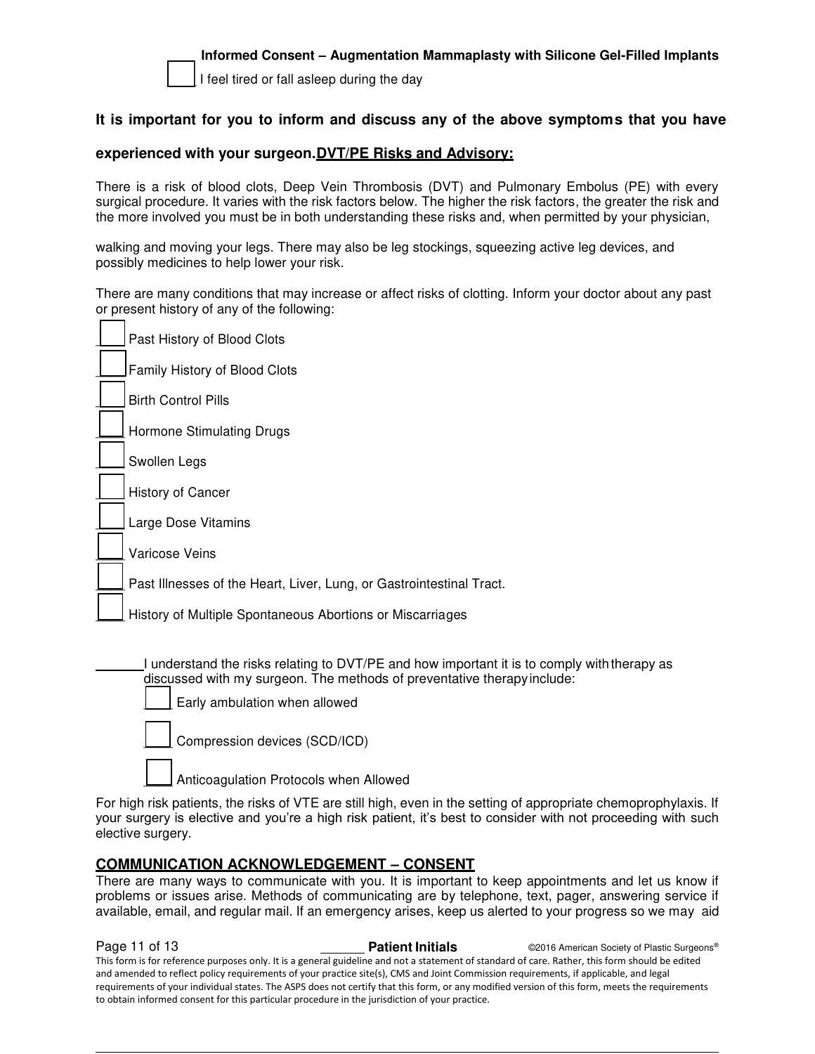

I feel tired or fall asleep during the day

# **It is important for you to inform and discuss any of the above symptoms that you have**

#### **experienced with your surgeon.DVT/PE Risks and Advisory:**

There is a risk of blood clots, Deep Vein Thrombosis (DVT) and Pulmonary Embolus (PE) with every surgical procedure. It varies with the risk factors below. The higher the risk factors, the greater the risk and the more involved you must be in both understanding these risks and, when permitted by your physician,

walking and moving your legs. There may also be leg stockings, squeezing active leg devices, and possibly medicines to help lower your risk.

There are many conditions that may increase or affect risks of clotting. Inform your doctor about any past or present history of any of the following:

|  | Past History of Blood Clots                                                                                                                                                                             |  |  |  |
|--|---------------------------------------------------------------------------------------------------------------------------------------------------------------------------------------------------------|--|--|--|
|  | Family History of Blood Clots                                                                                                                                                                           |  |  |  |
|  | <b>Birth Control Pills</b>                                                                                                                                                                              |  |  |  |
|  | Hormone Stimulating Drugs                                                                                                                                                                               |  |  |  |
|  | Swollen Legs                                                                                                                                                                                            |  |  |  |
|  | History of Cancer                                                                                                                                                                                       |  |  |  |
|  | Large Dose Vitamins                                                                                                                                                                                     |  |  |  |
|  | Varicose Veins                                                                                                                                                                                          |  |  |  |
|  | Past Illnesses of the Heart, Liver, Lung, or Gastrointestinal Tract.                                                                                                                                    |  |  |  |
|  | History of Multiple Spontaneous Abortions or Miscarriages                                                                                                                                               |  |  |  |
|  | I understand the risks relating to DVT/PE and how important it is to comply with therapy as<br>discussed with my surgeon. The methods of preventative therapy include:<br>Early ambulation when allowed |  |  |  |
|  | Compression devices (SCD/ICD)                                                                                                                                                                           |  |  |  |

Anticoagulation Protocols when Allowed

For high risk patients, the risks of VTE are still high, even in the setting of appropriate chemoprophylaxis. If your surgery is elective and you're a high risk patient, it's best to consider with not proceeding with such elective surgery.

# **COMMUNICATION ACKNOWLEDGEMENT – CONSENT**

There are many ways to communicate with you. It is important to keep appointments and let us know if problems or issues arise. Methods of communicating are by telephone, text, pager, answering service if available, email, and regular mail. If an emergency arises, keep us alerted to your progress so we may aid

**Page 11 of 13 Patient Initials Patient Initials C2016 American Society of Plastic Surgeons®** This form is for reference purposes only. It is a general guideline and not a statement of standard of care. Rather, this form should be edited and amended to reflect policy requirements of your practice site(s), CMS and Joint Commission requirements, if applicable, and legal requirements of your individual states. The ASPS does not certify that this form, or any modified version of this form, meets the requirements to obtain informed consent for this particular procedure in the jurisdiction of your practice.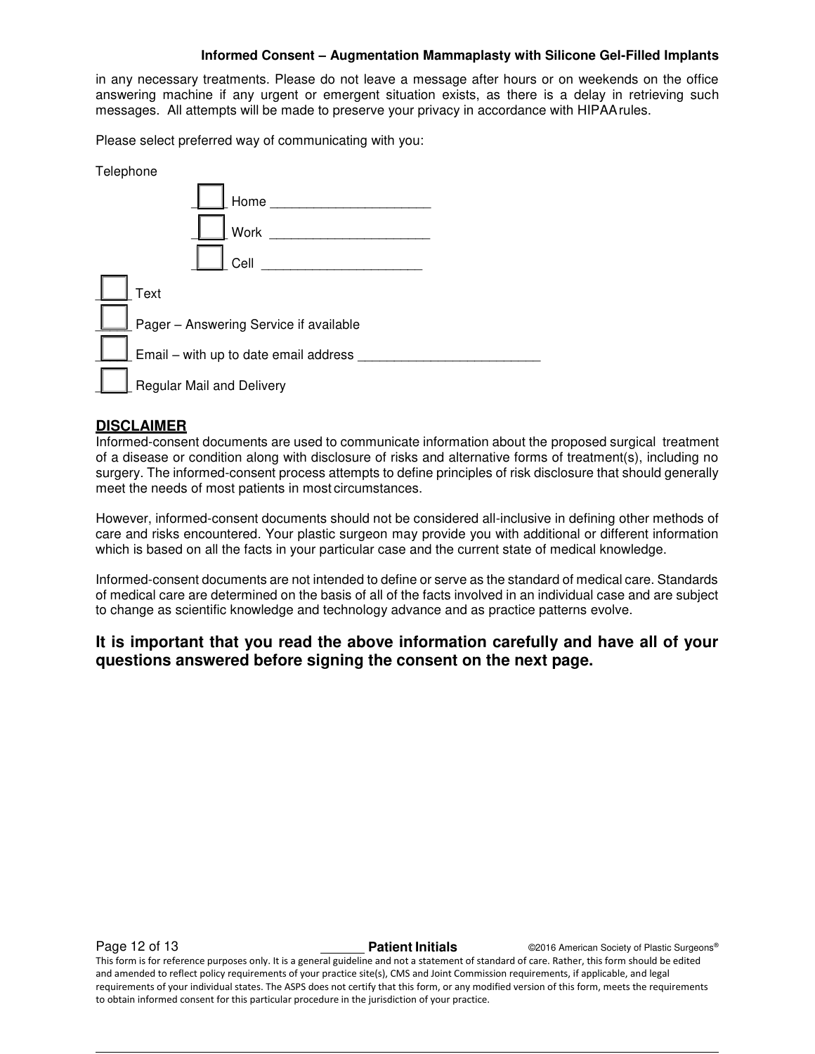in any necessary treatments. Please do not leave a message after hours or on weekends on the office answering machine if any urgent or emergent situation exists, as there is a delay in retrieving such messages. All attempts will be made to preserve your privacy in accordance with HIPAA rules.

Please select preferred way of communicating with you:

| Telephone |                                        |
|-----------|----------------------------------------|
|           | Home                                   |
|           | Work                                   |
|           | Cell                                   |
| Text      |                                        |
|           | Pager - Answering Service if available |
|           | Email - with up to date email address  |
|           | <b>Regular Mail and Delivery</b>       |

# **DISCLAIMER**

Informed-consent documents are used to communicate information about the proposed surgical treatment of a disease or condition along with disclosure of risks and alternative forms of treatment(s), including no surgery. The informed-consent process attempts to define principles of risk disclosure that should generally meet the needs of most patients in most circumstances.

However, informed-consent documents should not be considered all-inclusive in defining other methods of care and risks encountered. Your plastic surgeon may provide you with additional or different information which is based on all the facts in your particular case and the current state of medical knowledge.

Informed-consent documents are not intended to define or serve as the standard of medical care. Standards of medical care are determined on the basis of all of the facts involved in an individual case and are subject to change as scientific knowledge and technology advance and as practice patterns evolve.

# **It is important that you read the above information carefully and have all of your questions answered before signing the consent on the next page.**

**Page 12 of 13 Patient Initials Patient Initials CALC CONFIDENT CONFIDENT Patient Initials CONFIDENT CONFIDENT** This form is for reference purposes only. It is a general guideline and not a statement of standard of care. Rather, this form should be edited and amended to reflect policy requirements of your practice site(s), CMS and Joint Commission requirements, if applicable, and legal requirements of your individual states. The ASPS does not certify that this form, or any modified version of this form, meets the requirements to obtain informed consent for this particular procedure in the jurisdiction of your practice.